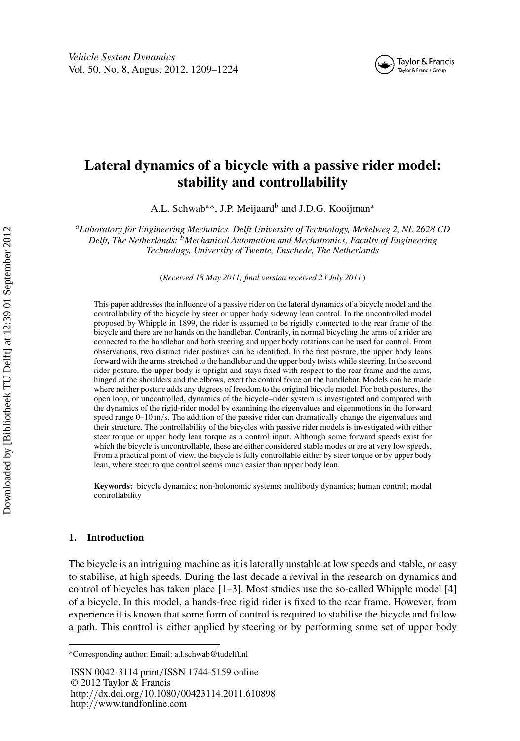

# **Lateral dynamics of a bicycle with a passive rider model: stability and controllability**

A.L. Schwab<sup>a\*</sup>, J.P. Meijaard<sup>b</sup> and J.D.G. Kooijman<sup>a</sup>

*aLaboratory for Engineering Mechanics, Delft University of Technology, Mekelweg 2, NL 2628 CD Delft, The Netherlands; bMechanical Automation and Mechatronics, Faculty of Engineering Technology, University of Twente, Enschede, The Netherlands*

(*Received 18 May 2011; final version received 23 July 2011* )

This paper addresses the influence of a passive rider on the lateral dynamics of a bicycle model and the controllability of the bicycle by steer or upper body sideway lean control. In the uncontrolled model proposed by Whipple in 1899, the rider is assumed to be rigidly connected to the rear frame of the bicycle and there are no hands on the handlebar. Contrarily, in normal bicycling the arms of a rider are connected to the handlebar and both steering and upper body rotations can be used for control. From observations, two distinct rider postures can be identified. In the first posture, the upper body leans forward with the arms stretched to the handlebar and the upper body twists while steering. In the second rider posture, the upper body is upright and stays fixed with respect to the rear frame and the arms, hinged at the shoulders and the elbows, exert the control force on the handlebar. Models can be made where neither posture adds any degrees of freedom to the original bicycle model. For both postures, the open loop, or uncontrolled, dynamics of the bicycle–rider system is investigated and compared with the dynamics of the rigid-rider model by examining the eigenvalues and eigenmotions in the forward speed range  $0-10$  m/s. The addition of the passive rider can dramatically change the eigenvalues and their structure. The controllability of the bicycles with passive rider models is investigated with either steer torque or upper body lean torque as a control input. Although some forward speeds exist for which the bicycle is uncontrollable, these are either considered stable modes or are at very low speeds. From a practical point of view, the bicycle is fully controllable either by steer torque or by upper body lean, where steer torque control seems much easier than upper body lean.

**Keywords:** bicycle dynamics; non-holonomic systems; multibody dynamics; human control; modal controllability

## **1. Introduction**

The bicycle is an intriguing machine as it is laterally unstable at low speeds and stable, or easy to stabilise, at high speeds. During the last decade a revival in the research on dynamics and control of bicycles has taken place [1–3]. Most studies use the so-called Whipple model [4] of a bicycle. In this model, a hands-free rigid rider is fixed to the rear frame. However, from experience it is known that some form of control is required to stabilise the bicycle and follow a path. This control is either applied by steering or by performing some set of upper body

ISSN 0042-3114 print*/*ISSN 1744-5159 online © 2012 Taylor & Francis http:*//*dx.doi.org*/*10.1080*/*00423114.2011.610898 http:*//*www.tandfonline.com

<sup>\*</sup>Corresponding author. Email: a.l.schwab@tudelft.nl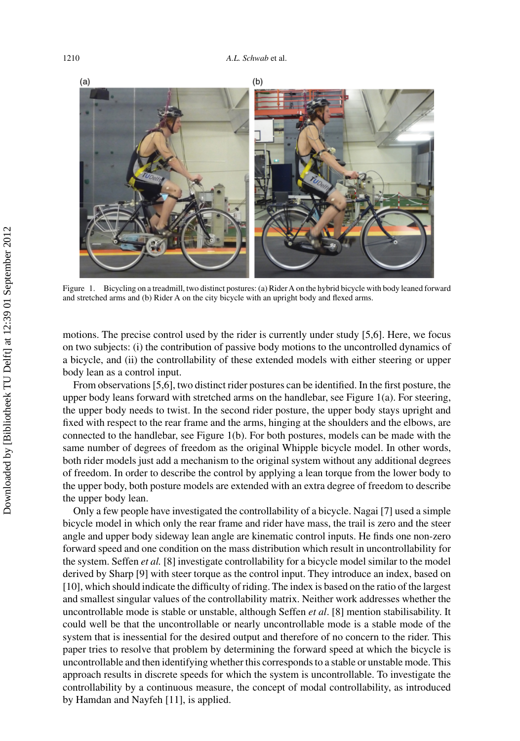

Figure 1. Bicycling on a treadmill, two distinct postures: (a) Rider A on the hybrid bicycle with body leaned forward and stretched arms and (b) Rider A on the city bicycle with an upright body and flexed arms.

motions. The precise control used by the rider is currently under study [5,6]. Here, we focus on two subjects: (i) the contribution of passive body motions to the uncontrolled dynamics of a bicycle, and (ii) the controllability of these extended models with either steering or upper body lean as a control input.

From observations [5,6], two distinct rider postures can be identified. In the first posture, the upper body leans forward with stretched arms on the handlebar, see Figure 1(a). For steering, the upper body needs to twist. In the second rider posture, the upper body stays upright and fixed with respect to the rear frame and the arms, hinging at the shoulders and the elbows, are connected to the handlebar, see Figure 1(b). For both postures, models can be made with the same number of degrees of freedom as the original Whipple bicycle model. In other words, both rider models just add a mechanism to the original system without any additional degrees of freedom. In order to describe the control by applying a lean torque from the lower body to the upper body, both posture models are extended with an extra degree of freedom to describe the upper body lean.

Only a few people have investigated the controllability of a bicycle. Nagai [7] used a simple bicycle model in which only the rear frame and rider have mass, the trail is zero and the steer angle and upper body sideway lean angle are kinematic control inputs. He finds one non-zero forward speed and one condition on the mass distribution which result in uncontrollability for the system. Seffen *et al.* [8] investigate controllability for a bicycle model similar to the model derived by Sharp [9] with steer torque as the control input. They introduce an index, based on [10], which should indicate the difficulty of riding. The index is based on the ratio of the largest and smallest singular values of the controllability matrix. Neither work addresses whether the uncontrollable mode is stable or unstable, although Seffen *et al*. [8] mention stabilisability. It could well be that the uncontrollable or nearly uncontrollable mode is a stable mode of the system that is inessential for the desired output and therefore of no concern to the rider. This paper tries to resolve that problem by determining the forward speed at which the bicycle is uncontrollable and then identifying whether this corresponds to a stable or unstable mode. This approach results in discrete speeds for which the system is uncontrollable. To investigate the controllability by a continuous measure, the concept of modal controllability, as introduced by Hamdan and Nayfeh [11], is applied.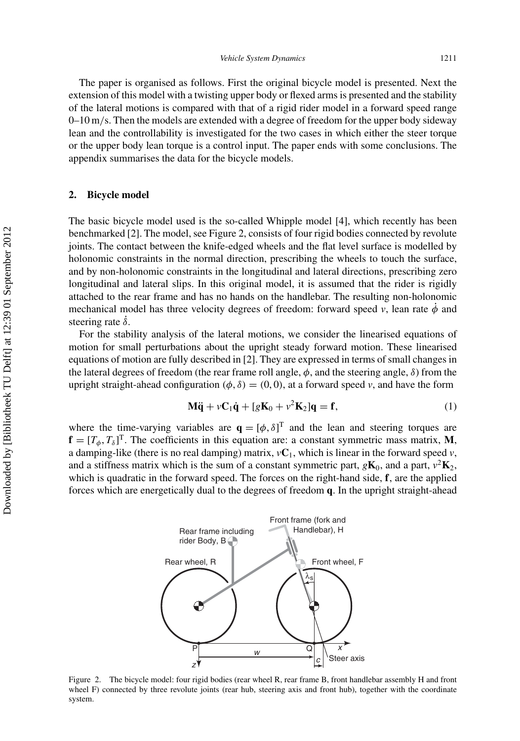The paper is organised as follows. First the original bicycle model is presented. Next the extension of this model with a twisting upper body or flexed arms is presented and the stability of the lateral motions is compared with that of a rigid rider model in a forward speed range 0–10 m*/*s. Then the models are extended with a degree of freedom for the upper body sideway lean and the controllability is investigated for the two cases in which either the steer torque or the upper body lean torque is a control input. The paper ends with some conclusions. The appendix summarises the data for the bicycle models.

### **2. Bicycle model**

The basic bicycle model used is the so-called Whipple model [4], which recently has been benchmarked [2]. The model, see Figure 2, consists of four rigid bodies connected by revolute joints. The contact between the knife-edged wheels and the flat level surface is modelled by holonomic constraints in the normal direction, prescribing the wheels to touch the surface, and by non-holonomic constraints in the longitudinal and lateral directions, prescribing zero longitudinal and lateral slips. In this original model, it is assumed that the rider is rigidly attached to the rear frame and has no hands on the handlebar. The resulting non-holonomic mechanical model has three velocity degrees of freedom: forward speed  $v$ , lean rate  $\dot{\phi}$  and steering rate *δ*˙.

For the stability analysis of the lateral motions, we consider the linearised equations of motion for small perturbations about the upright steady forward motion. These linearised equations of motion are fully described in [2]. They are expressed in terms of small changes in the lateral degrees of freedom (the rear frame roll angle, *φ*, and the steering angle, *δ*) from the upright straight-ahead configuration  $(\phi, \delta) = (0, 0)$ , at a forward speed *v*, and have the form

$$
\mathbf{M}\ddot{\mathbf{q}} + v\mathbf{C}_1\dot{\mathbf{q}} + [g\mathbf{K}_0 + v^2\mathbf{K}_2]\mathbf{q} = \mathbf{f},\tag{1}
$$

where the time-varying variables are  $\mathbf{q} = [\phi, \delta]^T$  and the lean and steering torques are  $f = [T_{\phi}, T_{\delta}]^{T}$ . The coefficients in this equation are: a constant symmetric mass matrix, **M**, a damping-like (there is no real damping) matrix,  $vC_1$ , which is linear in the forward speed  $v$ , and a stiffness matrix which is the sum of a constant symmetric part,  $g\mathbf{K}_0$ , and a part,  $v^2\mathbf{K}_2$ , which is quadratic in the forward speed. The forces on the right-hand side, **f**, are the applied forces which are energetically dual to the degrees of freedom **q**. In the upright straight-ahead



Figure 2. The bicycle model: four rigid bodies (rear wheel R, rear frame B, front handlebar assembly H and front wheel F) connected by three revolute joints (rear hub, steering axis and front hub), together with the coordinate system.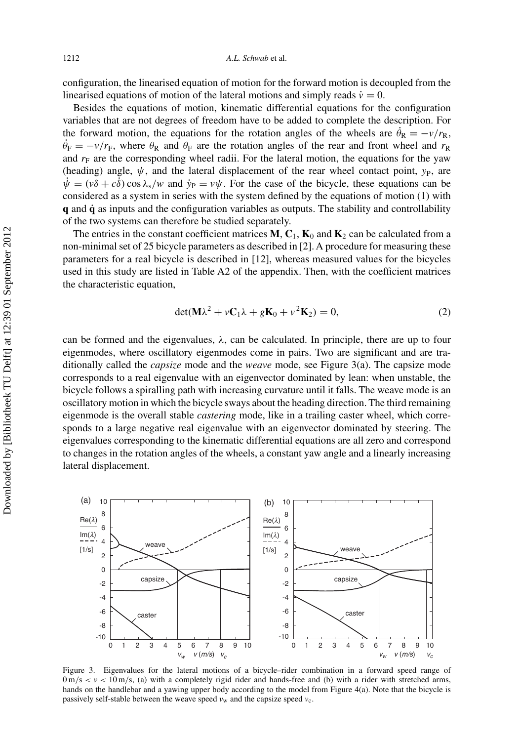configuration, the linearised equation of motion for the forward motion is decoupled from the linearised equations of motion of the lateral motions and simply reads  $\dot{v} = 0$ .

Besides the equations of motion, kinematic differential equations for the configuration variables that are not degrees of freedom have to be added to complete the description. For the forward motion, the equations for the rotation angles of the wheels are  $\theta_R = -\nu/r_R$ ,  $\theta_F = -\nu/r_F$ , where  $\theta_R$  and  $\theta_F$  are the rotation angles of the rear and front wheel and  $r_R$ and  $r_F$  are the corresponding wheel radii. For the lateral motion, the equations for the yaw (heading) angle,  $\psi$ , and the lateral displacement of the rear wheel contact point,  $y_P$ , are  $\psi = (\nu \delta + c \delta) \cos \lambda_s / \nu$  and  $\dot{y}_P = \nu \psi$ . For the case of the bicycle, these equations can be considered as a system in series with the system defined by the equations of motion (1) with **q** and **q**˙ as inputs and the configuration variables as outputs. The stability and controllability of the two systems can therefore be studied separately.

The entries in the constant coefficient matrices  $\mathbf{M}, \mathbf{C}_1, \mathbf{K}_0$  and  $\mathbf{K}_2$  can be calculated from a non-minimal set of 25 bicycle parameters as described in [2]. A procedure for measuring these parameters for a real bicycle is described in [12], whereas measured values for the bicycles used in this study are listed in Table A2 of the appendix. Then, with the coefficient matrices the characteristic equation,

$$
\det(\mathbf{M}\lambda^2 + v\mathbf{C}_1\lambda + g\mathbf{K}_0 + v^2\mathbf{K}_2) = 0,
$$
\n(2)

can be formed and the eigenvalues,  $\lambda$ , can be calculated. In principle, there are up to four eigenmodes, where oscillatory eigenmodes come in pairs. Two are significant and are traditionally called the *capsize* mode and the *weave* mode, see Figure 3(a). The capsize mode corresponds to a real eigenvalue with an eigenvector dominated by lean: when unstable, the bicycle follows a spiralling path with increasing curvature until it falls. The weave mode is an oscillatory motion in which the bicycle sways about the heading direction. The third remaining eigenmode is the overall stable *castering* mode, like in a trailing caster wheel, which corresponds to a large negative real eigenvalue with an eigenvector dominated by steering. The eigenvalues corresponding to the kinematic differential equations are all zero and correspond to changes in the rotation angles of the wheels, a constant yaw angle and a linearly increasing lateral displacement.



Figure 3. Eigenvalues for the lateral motions of a bicycle–rider combination in a forward speed range of  $0 \text{ m/s} < v < 10 \text{ m/s}$ , (a) with a completely rigid rider and hands-free and (b) with a rider with stretched arms, hands on the handlebar and a yawing upper body according to the model from Figure 4(a). Note that the bicycle is passively self-stable between the weave speed  $v_w$  and the capsize speed  $v_c$ .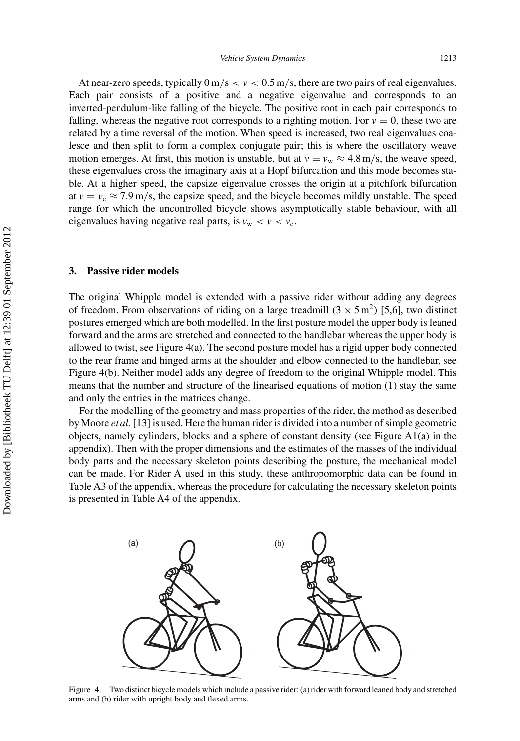At near-zero speeds, typically  $0 \text{ m/s} < v < 0.5 \text{ m/s}$ , there are two pairs of real eigenvalues. Each pair consists of a positive and a negative eigenvalue and corresponds to an inverted-pendulum-like falling of the bicycle. The positive root in each pair corresponds to falling, whereas the negative root corresponds to a righting motion. For  $v = 0$ , these two are related by a time reversal of the motion. When speed is increased, two real eigenvalues coalesce and then split to form a complex conjugate pair; this is where the oscillatory weave motion emerges. At first, this motion is unstable, but at  $v = v_w \approx 4.8$  m/s, the weave speed, these eigenvalues cross the imaginary axis at a Hopf bifurcation and this mode becomes stable. At a higher speed, the capsize eigenvalue crosses the origin at a pitchfork bifurcation at  $v = v_c \approx 7.9$  m/s, the capsize speed, and the bicycle becomes mildly unstable. The speed range for which the uncontrolled bicycle shows asymptotically stable behaviour, with all eigenvalues having negative real parts, is  $v_w < v < v_c$ .

#### **3. Passive rider models**

The original Whipple model is extended with a passive rider without adding any degrees of freedom. From observations of riding on a large treadmill  $(3 \times 5 \text{ m}^2)$  [5,6], two distinct postures emerged which are both modelled. In the first posture model the upper body is leaned forward and the arms are stretched and connected to the handlebar whereas the upper body is allowed to twist, see Figure 4(a). The second posture model has a rigid upper body connected to the rear frame and hinged arms at the shoulder and elbow connected to the handlebar, see Figure 4(b). Neither model adds any degree of freedom to the original Whipple model. This means that the number and structure of the linearised equations of motion (1) stay the same and only the entries in the matrices change.

For the modelling of the geometry and mass properties of the rider, the method as described by Moore *et al.* [13] is used. Here the human rider is divided into a number of simple geometric objects, namely cylinders, blocks and a sphere of constant density (see Figure A1(a) in the appendix). Then with the proper dimensions and the estimates of the masses of the individual body parts and the necessary skeleton points describing the posture, the mechanical model can be made. For Rider A used in this study, these anthropomorphic data can be found in Table A3 of the appendix, whereas the procedure for calculating the necessary skeleton points is presented in Table A4 of the appendix.



Figure 4. Two distinct bicycle models which include a passive rider: (a) rider with forward leaned body and stretched arms and (b) rider with upright body and flexed arms.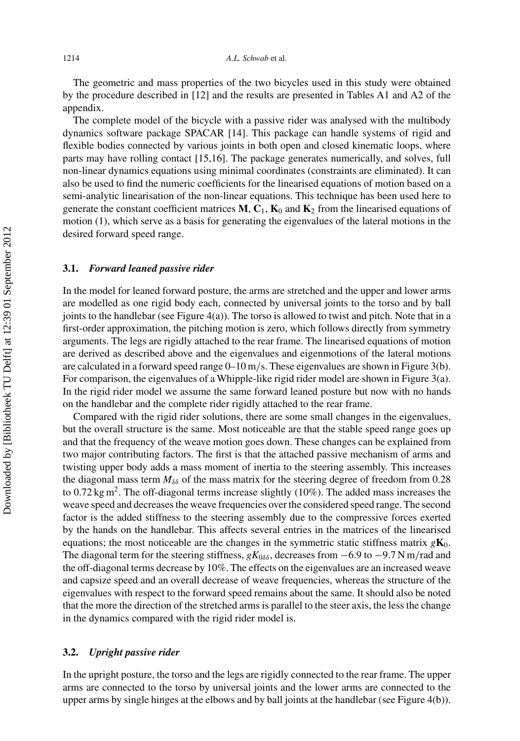The geometric and mass properties of the two bicycles used in this study were obtained by the procedure described in [12] and the results are presented in Tables A1 and A2 of the appendix.

The complete model of the bicycle with a passive rider was analysed with the multibody dynamics software package SPACAR [14]. This package can handle systems of rigid and flexible bodies connected by various joints in both open and closed kinematic loops, where parts may have rolling contact [15,16]. The package generates numerically, and solves, full non-linear dynamics equations using minimal coordinates (constraints are eliminated). It can also be used to find the numeric coefficients for the linearised equations of motion based on a semi-analytic linearisation of the non-linear equations. This technique has been used here to generate the constant coefficient matrices  $M$ ,  $C_1$ ,  $K_0$  and  $K_2$  from the linearised equations of motion (1), which serve as a basis for generating the eigenvalues of the lateral motions in the desired forward speed range.

### **3.1.** *Forward leaned passive rider*

In the model for leaned forward posture, the arms are stretched and the upper and lower arms are modelled as one rigid body each, connected by universal joints to the torso and by ball joints to the handlebar (see Figure  $4(a)$ ). The torso is allowed to twist and pitch. Note that in a first-order approximation, the pitching motion is zero, which follows directly from symmetry arguments. The legs are rigidly attached to the rear frame. The linearised equations of motion are derived as described above and the eigenvalues and eigenmotions of the lateral motions are calculated in a forward speed range 0–10 m*/*s. These eigenvalues are shown in Figure 3(b). For comparison, the eigenvalues of a Whipple-like rigid rider model are shown in Figure 3(a). In the rigid rider model we assume the same forward leaned posture but now with no hands on the handlebar and the complete rider rigidly attached to the rear frame.

Compared with the rigid rider solutions, there are some small changes in the eigenvalues, but the overall structure is the same. Most noticeable are that the stable speed range goes up and that the frequency of the weave motion goes down. These changes can be explained from two major contributing factors. The first is that the attached passive mechanism of arms and twisting upper body adds a mass moment of inertia to the steering assembly. This increases the diagonal mass term  $M_{\delta\delta}$  of the mass matrix for the steering degree of freedom from 0.28 to 0.72 kg m<sup>2</sup>. The off-diagonal terms increase slightly (10%). The added mass increases the weave speed and decreases the weave frequencies over the considered speed range. The second factor is the added stiffness to the steering assembly due to the compressive forces exerted by the hands on the handlebar. This affects several entries in the matrices of the linearised equations; the most noticeable are the changes in the symmetric static stiffness matrix  $g\mathbf{K}_0$ . The diagonal term for the steering stiffness, *gK*<sub>0δδ</sub>, decreases from −6.9 to −9.7 N m/rad and the off-diagonal terms decrease by 10%. The effects on the eigenvalues are an increased weave and capsize speed and an overall decrease of weave frequencies, whereas the structure of the eigenvalues with respect to the forward speed remains about the same. It should also be noted that the more the direction of the stretched arms is parallel to the steer axis, the less the change in the dynamics compared with the rigid rider model is.

## **3.2.** *Upright passive rider*

In the upright posture, the torso and the legs are rigidly connected to the rear frame. The upper arms are connected to the torso by universal joints and the lower arms are connected to the upper arms by single hinges at the elbows and by ball joints at the handlebar (see Figure 4(b)).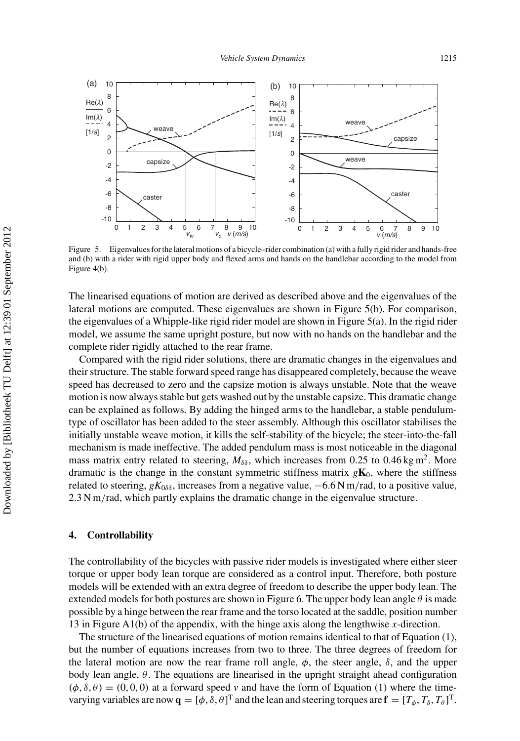

Figure 5. Eigenvalues for the lateral motions of a bicycle–rider combination (a) with a fully rigid rider and hands-free and (b) with a rider with rigid upper body and flexed arms and hands on the handlebar according to the model from Figure 4(b).

The linearised equations of motion are derived as described above and the eigenvalues of the lateral motions are computed. These eigenvalues are shown in Figure 5(b). For comparison, the eigenvalues of a Whipple-like rigid rider model are shown in Figure 5(a). In the rigid rider model, we assume the same upright posture, but now with no hands on the handlebar and the complete rider rigidly attached to the rear frame.

Compared with the rigid rider solutions, there are dramatic changes in the eigenvalues and their structure. The stable forward speed range has disappeared completely, because the weave speed has decreased to zero and the capsize motion is always unstable. Note that the weave motion is now always stable but gets washed out by the unstable capsize. This dramatic change can be explained as follows. By adding the hinged arms to the handlebar, a stable pendulumtype of oscillator has been added to the steer assembly. Although this oscillator stabilises the initially unstable weave motion, it kills the self-stability of the bicycle; the steer-into-the-fall mechanism is made ineffective. The added pendulum mass is most noticeable in the diagonal mass matrix entry related to steering,  $M_{\delta\delta}$ , which increases from 0.25 to 0.46 kg m<sup>2</sup>. More dramatic is the change in the constant symmetric stiffness matrix  $g\mathbf{K}_0$ , where the stiffness related to steering, *gK*0*δδ* , increases from a negative value, −6.6 N m*/*rad, to a positive value, 2.3 N m*/*rad, which partly explains the dramatic change in the eigenvalue structure.

#### **4. Controllability**

The controllability of the bicycles with passive rider models is investigated where either steer torque or upper body lean torque are considered as a control input. Therefore, both posture models will be extended with an extra degree of freedom to describe the upper body lean. The extended models for both postures are shown in Figure 6. The upper body lean angle  $\theta$  is made possible by a hinge between the rear frame and the torso located at the saddle, position number 13 in Figure A1(b) of the appendix, with the hinge axis along the lengthwise *x*-direction.

The structure of the linearised equations of motion remains identical to that of Equation (1), but the number of equations increases from two to three. The three degrees of freedom for the lateral motion are now the rear frame roll angle,  $\phi$ , the steer angle,  $\delta$ , and the upper body lean angle, *θ*. The equations are linearised in the upright straight ahead configuration  $(\phi, \delta, \theta) = (0, 0, 0)$  at a forward speed *v* and have the form of Equation (1) where the timevarying variables are now  $\mathbf{q} = [\phi, \delta, \theta]^T$  and the lean and steering torques are  $\mathbf{f} = [T_{\phi}, T_{\delta}, T_{\theta}]^T$ .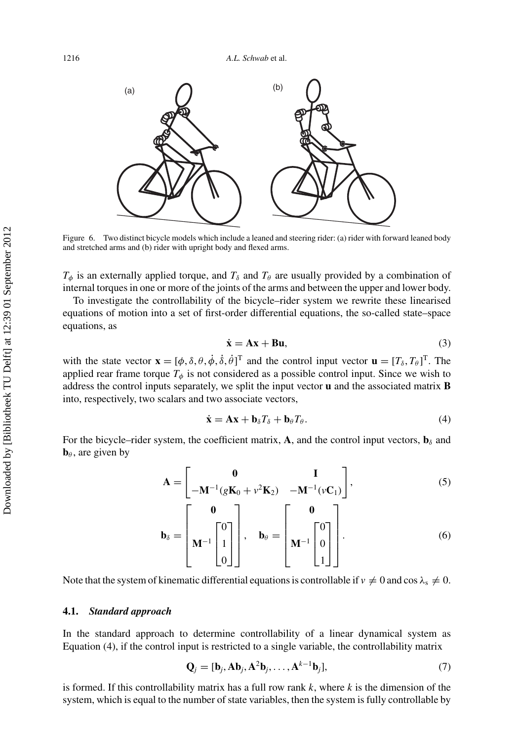

Figure 6. Two distinct bicycle models which include a leaned and steering rider: (a) rider with forward leaned body and stretched arms and (b) rider with upright body and flexed arms.

 $T_{\phi}$  is an externally applied torque, and  $T_{\delta}$  and  $T_{\theta}$  are usually provided by a combination of internal torques in one or more of the joints of the arms and between the upper and lower body.

To investigate the controllability of the bicycle–rider system we rewrite these linearised equations of motion into a set of first-order differential equations, the so-called state–space equations, as

$$
\dot{\mathbf{x}} = \mathbf{A}\mathbf{x} + \mathbf{B}\mathbf{u},\tag{3}
$$

with the state vector  $\mathbf{x} = [\phi, \delta, \theta, \dot{\phi}, \dot{\delta}, \dot{\theta}]^T$  and the control input vector  $\mathbf{u} = [T_{\delta}, T_{\theta}]^T$ . The applied rear frame torque  $T_{\phi}$  is not considered as a possible control input. Since we wish to address the control inputs separately, we split the input vector **u** and the associated matrix **B** into, respectively, two scalars and two associate vectors,

$$
\dot{\mathbf{x}} = \mathbf{A}\mathbf{x} + \mathbf{b}_{\delta}T_{\delta} + \mathbf{b}_{\theta}T_{\theta}.
$$
 (4)

For the bicycle–rider system, the coefficient matrix, **A**, and the control input vectors,  $\mathbf{b}_{\delta}$  and **, are given by** 

$$
\mathbf{A} = \begin{bmatrix} \mathbf{0} & \mathbf{I} \\ -\mathbf{M}^{-1} (g\mathbf{K}_0 + v^2 \mathbf{K}_2) & -\mathbf{M}^{-1} (v\mathbf{C}_1) \end{bmatrix},
$$
(5)

$$
\mathbf{b}_{\delta} = \begin{bmatrix} \mathbf{0} \\ \mathbf{M}^{-1} \begin{bmatrix} 0 \\ 1 \\ 0 \end{bmatrix} \end{bmatrix}, \quad \mathbf{b}_{\theta} = \begin{bmatrix} \mathbf{0} \\ \mathbf{M}^{-1} \begin{bmatrix} 0 \\ 0 \\ 1 \end{bmatrix} \end{bmatrix}.
$$
 (6)

Note that the system of kinematic differential equations is controllable if  $v \neq 0$  and cos  $\lambda_s \neq 0$ .

## **4.1.** *Standard approach*

In the standard approach to determine controllability of a linear dynamical system as Equation (4), if the control input is restricted to a single variable, the controllability matrix

$$
\mathbf{Q}_j = [\mathbf{b}_j, \mathbf{A}\mathbf{b}_j, \mathbf{A}^2\mathbf{b}_j, \dots, \mathbf{A}^{k-1}\mathbf{b}_j],\tag{7}
$$

is formed. If this controllability matrix has a full row rank *k*, where *k* is the dimension of the system, which is equal to the number of state variables, then the system is fully controllable by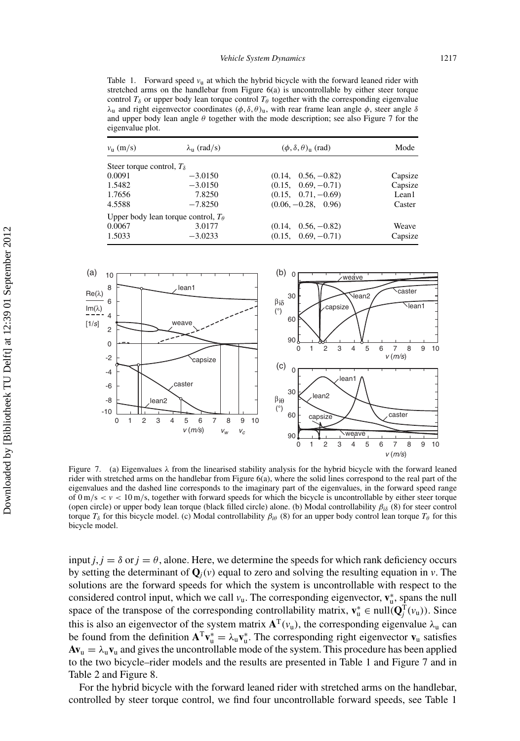Table 1. Forward speed  $v<sub>u</sub>$  at which the hybrid bicycle with the forward leaned rider with stretched arms on the handlebar from Figure 6(a) is uncontrollable by either steer torque control  $T_\delta$  or upper body lean torque control  $T_\theta$  together with the corresponding eigenvalue *λ*<sub>u</sub> and right eigenvector coordinates  $(φ, δ, θ)$ <sub>u</sub>, with rear frame lean angle *φ*, steer angle *δ* and upper body lean angle *θ* together with the mode description; see also Figure 7 for the eigenvalue plot.

| $v_{\rm u}$ (m/s)                  | $\lambda_{\rm u}$ (rad/s)                    | $(\phi, \delta, \theta)$ <sub>u</sub> (rad) | Mode    |
|------------------------------------|----------------------------------------------|---------------------------------------------|---------|
| Steer torque control, $T_{\delta}$ |                                              |                                             |         |
| 0.0091                             | $-3.0150$                                    | $(0.14, 0.56, -0.82)$                       | Capsize |
| 1.5482                             | $-3.0150$                                    | $(0.15, 0.69, -0.71)$                       | Capsize |
| 1.7656                             | 7.8250                                       | $(0.15, 0.71, -0.69)$                       | Lean1   |
| 4.5588                             | $-7.8250$                                    | $(0.06, -0.28, 0.96)$                       | Caster  |
|                                    | Upper body lean torque control, $T_{\theta}$ |                                             |         |
| 0.0067                             | 3.0177                                       | $(0.14, 0.56, -0.82)$                       | Weave   |
| 1.5033                             | $-3.0233$                                    | $(0.15, 0.69, -0.71)$                       | Capsize |



Figure 7. (a) Eigenvalues  $\lambda$  from the linearised stability analysis for the hybrid bicycle with the forward leaned rider with stretched arms on the handlebar from Figure 6(a), where the solid lines correspond to the real part of the eigenvalues and the dashed line corresponds to the imaginary part of the eigenvalues, in the forward speed range of  $0 \text{ m/s} < v < 10 \text{ m/s}$ , together with forward speeds for which the bicycle is uncontrollable by either steer torque (open circle) or upper body lean torque (black filled circle) alone. (b) Modal controllability *βi<sup>δ</sup>* (8) for steer control torque  $T<sub>δ</sub>$  for this bicycle model. (c) Modal controllability  $β<sub>iθ</sub>$  (8) for an upper body control lean torque  $T<sub>θ</sub>$  for this bicycle model.

input  $j, j = \delta$  or  $j = \theta$ , alone. Here, we determine the speeds for which rank deficiency occurs by setting the determinant of  $\mathbf{O}_i(v)$  equal to zero and solving the resulting equation in *v*. The solutions are the forward speeds for which the system is uncontrollable with respect to the considered control input, which we call  $v_u$ . The corresponding eigenvector,  $\mathbf{v}_u^*$ , spans the null space of the transpose of the corresponding controllability matrix,  $\mathbf{v}_u^* \in \text{null}(\mathbf{Q}_j^T(v_u))$ . Since this is also an eigenvector of the system matrix  $A<sup>T</sup>(v<sub>u</sub>)$ , the corresponding eigenvalue  $\lambda_{u}$  can be found from the definition  $A^T v_u^* = \lambda_u v_u^*$ . The corresponding right eigenvector  $v_u$  satisfies  $Av_u = \lambda_u v_u$  and gives the uncontrollable mode of the system. This procedure has been applied to the two bicycle–rider models and the results are presented in Table 1 and Figure 7 and in Table 2 and Figure 8.

For the hybrid bicycle with the forward leaned rider with stretched arms on the handlebar, controlled by steer torque control, we find four uncontrollable forward speeds, see Table 1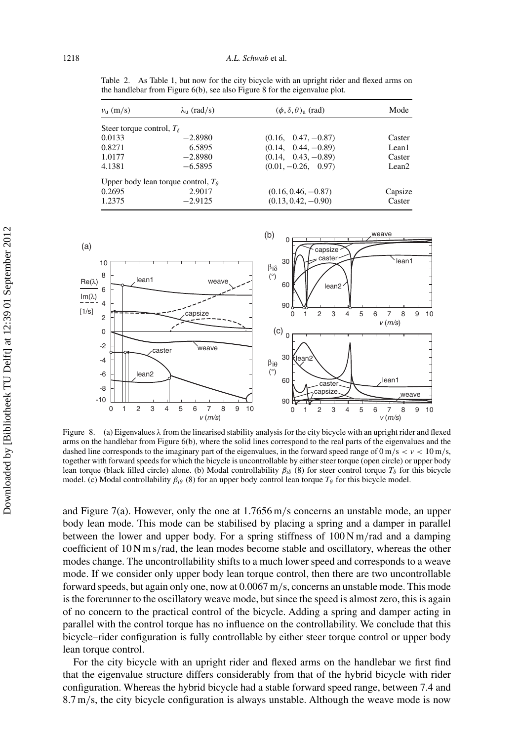| $v_{\rm u}$ (m/s)                  | $\lambda_{\rm u}$ (rad/s)             | $(\phi, \delta, \theta)$ <sub>n</sub> (rad) | Mode              |
|------------------------------------|---------------------------------------|---------------------------------------------|-------------------|
| Steer torque control, $T_{\delta}$ |                                       |                                             |                   |
| 0.0133                             | $-2.8980$                             | $(0.16, 0.47, -0.87)$                       | Caster            |
| 0.8271                             | 6.5895                                | $(0.14, 0.44, -0.89)$                       | Lean1             |
| 1.0177                             | $-2.8980$                             | $(0.14, 0.43, -0.89)$                       | Caster            |
| 4.1381                             | $-6.5895$                             | $(0.01, -0.26, 0.97)$                       | Lean <sub>2</sub> |
|                                    | Upper body lean torque control, $T_a$ |                                             |                   |
| 0.2695                             | 2.9017                                | $(0.16, 0.46, -0.87)$                       | Capsize           |
| 1.2375                             | $-2.9125$                             | $(0.13, 0.42, -0.90)$                       | Caster            |

Table 2. As Table 1, but now for the city bicycle with an upright rider and flexed arms on the handlebar from Figure 6(b), see also Figure 8 for the eigenvalue plot.



Figure 8. (a) Eigenvalues  $\lambda$  from the linearised stability analysis for the city bicycle with an upright rider and flexed arms on the handlebar from Figure 6(b), where the solid lines correspond to the real parts of the eigenvalues and the dashed line corresponds to the imaginary part of the eigenvalues, in the forward speed range of  $0 \text{ m/s} < v < 10 \text{ m/s}$ , together with forward speeds for which the bicycle is uncontrollable by either steer torque (open circle) or upper body lean torque (black filled circle) alone. (b) Modal controllability  $β<sub>iδ</sub>$  (8) for steer control torque  $T<sub>δ</sub>$  for this bicycle model. (c) Modal controllability  $\beta_{i\theta}$  (8) for an upper body control lean torque  $T_{\theta}$  for this bicycle model.

and Figure 7(a). However, only the one at 1.7656 m*/*s concerns an unstable mode, an upper body lean mode. This mode can be stabilised by placing a spring and a damper in parallel between the lower and upper body. For a spring stiffness of 100 N m*/*rad and a damping coefficient of 10Nms*/*rad, the lean modes become stable and oscillatory, whereas the other modes change. The uncontrollability shifts to a much lower speed and corresponds to a weave mode. If we consider only upper body lean torque control, then there are two uncontrollable forward speeds, but again only one, now at 0.0067 m*/*s, concerns an unstable mode. This mode is the forerunner to the oscillatory weave mode, but since the speed is almost zero, this is again of no concern to the practical control of the bicycle. Adding a spring and damper acting in parallel with the control torque has no influence on the controllability. We conclude that this bicycle–rider configuration is fully controllable by either steer torque control or upper body lean torque control.

For the city bicycle with an upright rider and flexed arms on the handlebar we first find that the eigenvalue structure differs considerably from that of the hybrid bicycle with rider configuration. Whereas the hybrid bicycle had a stable forward speed range, between 7.4 and 8.7 m*/*s, the city bicycle configuration is always unstable. Although the weave mode is now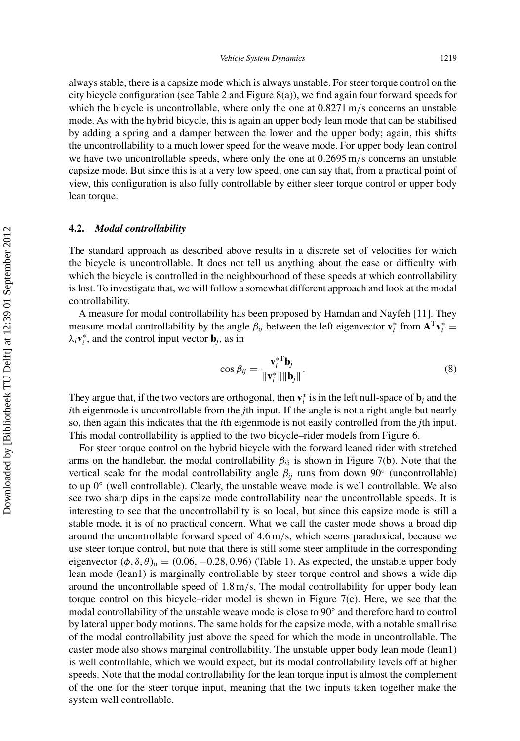always stable, there is a capsize mode which is always unstable. For steer torque control on the city bicycle configuration (see Table 2 and Figure 8(a)), we find again four forward speeds for which the bicycle is uncontrollable, where only the one at  $0.8271$  m/s concerns an unstable mode. As with the hybrid bicycle, this is again an upper body lean mode that can be stabilised by adding a spring and a damper between the lower and the upper body; again, this shifts the uncontrollability to a much lower speed for the weave mode. For upper body lean control we have two uncontrollable speeds, where only the one at 0.2695 m*/*s concerns an unstable capsize mode. But since this is at a very low speed, one can say that, from a practical point of view, this configuration is also fully controllable by either steer torque control or upper body lean torque.

## **4.2.** *Modal controllability*

The standard approach as described above results in a discrete set of velocities for which the bicycle is uncontrollable. It does not tell us anything about the ease or difficulty with which the bicycle is controlled in the neighbourhood of these speeds at which controllability is lost. To investigate that, we will follow a somewhat different approach and look at the modal controllability.

A measure for modal controllability has been proposed by Hamdan and Nayfeh [11]. They measure modal controllability by the angle  $\beta_{ij}$  between the left eigenvector  $\mathbf{v}_i^*$  from  $\mathbf{A}^T \mathbf{v}_i^*$  $\lambda_i$ **v**<sup>\*</sup><sub>*i*</sub>, and the control input vector **b***j*, as in

$$
\cos \beta_{ij} = \frac{\mathbf{v}_i^{*T} \mathbf{b}_j}{\|\mathbf{v}_i^*\| \|\mathbf{b}_j\|}.
$$
 (8)

They argue that, if the two vectors are orthogonal, then  $\mathbf{v}_i^*$  is in the left null-space of  $\mathbf{b}_j$  and the *i*th eigenmode is uncontrollable from the *j*th input. If the angle is not a right angle but nearly so, then again this indicates that the *i*th eigenmode is not easily controlled from the *j*th input. This modal controllability is applied to the two bicycle–rider models from Figure 6.

For steer torque control on the hybrid bicycle with the forward leaned rider with stretched arms on the handlebar, the modal controllability  $\beta_{i\delta}$  is shown in Figure 7(b). Note that the vertical scale for the modal controllability angle  $\beta_{ij}$  runs from down 90° (uncontrollable) to up 0◦ (well controllable). Clearly, the unstable weave mode is well controllable. We also see two sharp dips in the capsize mode controllability near the uncontrollable speeds. It is interesting to see that the uncontrollability is so local, but since this capsize mode is still a stable mode, it is of no practical concern. What we call the caster mode shows a broad dip around the uncontrollable forward speed of 4.6 m*/*s, which seems paradoxical, because we use steer torque control, but note that there is still some steer amplitude in the corresponding eigenvector  $(\phi, \delta, \theta)$ <sub>u</sub> =  $(0.06, -0.28, 0.96)$  (Table 1). As expected, the unstable upper body lean mode (lean1) is marginally controllable by steer torque control and shows a wide dip around the uncontrollable speed of 1.8 m*/*s. The modal controllability for upper body lean torque control on this bicycle–rider model is shown in Figure 7(c). Here, we see that the modal controllability of the unstable weave mode is close to 90◦ and therefore hard to control by lateral upper body motions. The same holds for the capsize mode, with a notable small rise of the modal controllability just above the speed for which the mode in uncontrollable. The caster mode also shows marginal controllability. The unstable upper body lean mode (lean1) is well controllable, which we would expect, but its modal controllability levels off at higher speeds. Note that the modal controllability for the lean torque input is almost the complement of the one for the steer torque input, meaning that the two inputs taken together make the system well controllable.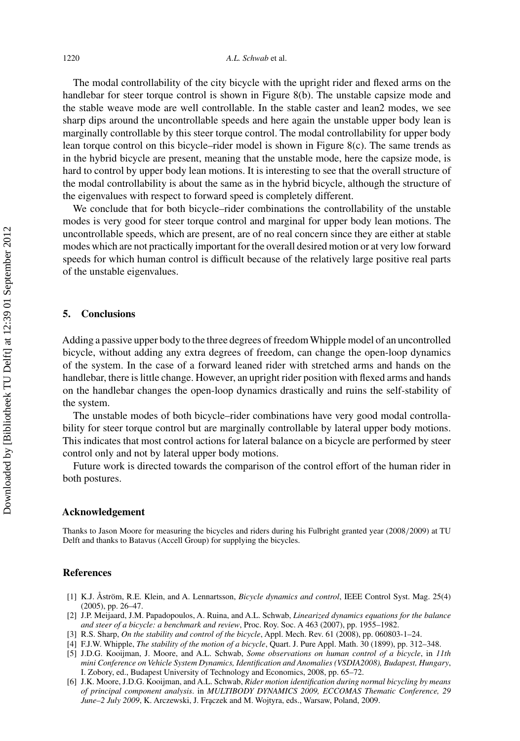The modal controllability of the city bicycle with the upright rider and flexed arms on the handlebar for steer torque control is shown in Figure 8(b). The unstable capsize mode and the stable weave mode are well controllable. In the stable caster and lean2 modes, we see sharp dips around the uncontrollable speeds and here again the unstable upper body lean is marginally controllable by this steer torque control. The modal controllability for upper body lean torque control on this bicycle–rider model is shown in Figure 8(c). The same trends as in the hybrid bicycle are present, meaning that the unstable mode, here the capsize mode, is hard to control by upper body lean motions. It is interesting to see that the overall structure of the modal controllability is about the same as in the hybrid bicycle, although the structure of the eigenvalues with respect to forward speed is completely different.

We conclude that for both bicycle–rider combinations the controllability of the unstable modes is very good for steer torque control and marginal for upper body lean motions. The uncontrollable speeds, which are present, are of no real concern since they are either at stable modes which are not practically important for the overall desired motion or at very low forward speeds for which human control is difficult because of the relatively large positive real parts of the unstable eigenvalues.

## **5. Conclusions**

Adding a passive upper body to the three degrees of freedom Whipple model of an uncontrolled bicycle, without adding any extra degrees of freedom, can change the open-loop dynamics of the system. In the case of a forward leaned rider with stretched arms and hands on the handlebar, there is little change. However, an upright rider position with flexed arms and hands on the handlebar changes the open-loop dynamics drastically and ruins the self-stability of the system.

The unstable modes of both bicycle–rider combinations have very good modal controllability for steer torque control but are marginally controllable by lateral upper body motions. This indicates that most control actions for lateral balance on a bicycle are performed by steer control only and not by lateral upper body motions.

Future work is directed towards the comparison of the control effort of the human rider in both postures.

### **Acknowledgement**

Thanks to Jason Moore for measuring the bicycles and riders during his Fulbright granted year (2008*/*2009) at TU Delft and thanks to Batavus (Accell Group) for supplying the bicycles.

## **References**

- [1] K.J. Åström, R.E. Klein, and A. Lennartsson, *Bicycle dynamics and control*, IEEE Control Syst. Mag. 25(4) (2005), pp. 26–47.
- [2] J.P. Meijaard, J.M. Papadopoulos, A. Ruina, and A.L. Schwab, *Linearized dynamics equations for the balance and steer of a bicycle: a benchmark and review*, Proc. Roy. Soc. A 463 (2007), pp. 1955–1982.
- [3] R.S. Sharp, *On the stability and control of the bicycle*, Appl. Mech. Rev. 61 (2008), pp. 060803-1–24.
- [4] F.J.W. Whipple, *The stability of the motion of a bicycle*, Quart. J. Pure Appl. Math. 30 (1899), pp. 312–348.
- [5] J.D.G. Kooijman, J. Moore, and A.L. Schwab, *Some observations on human control of a bicycle*, in *11th mini Conference on Vehicle System Dynamics, Identification and Anomalies (VSDIA2008), Budapest, Hungary*, I. Zobory, ed., Budapest University of Technology and Economics, 2008, pp. 65–72.
- [6] J.K. Moore, J.D.G. Kooijman, and A.L. Schwab, *Rider motion identification during normal bicycling by means of principal component analysis*. in *MULTIBODY DYNAMICS 2009, ECCOMAS Thematic Conference, 29 June–2 July 2009*, K. Arczewski, J. Fraczek and M. Wojtyra, eds., Warsaw, Poland, 2009.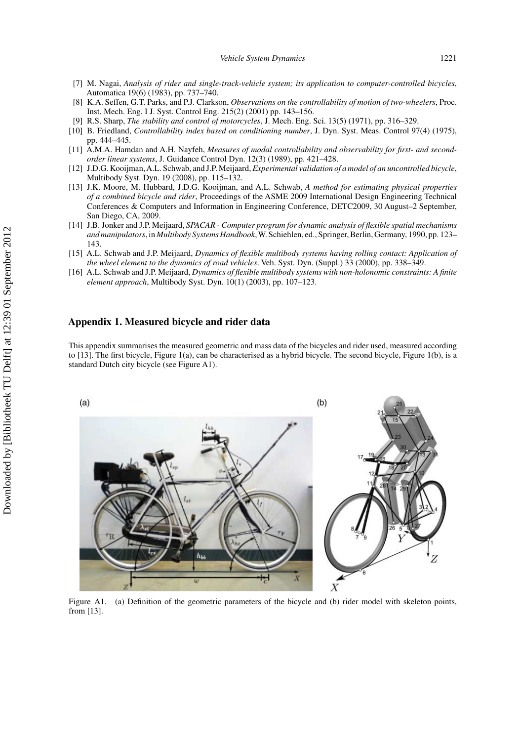- [7] M. Nagai, *Analysis of rider and single-track-vehicle system; its application to computer-controlled bicycles*, Automatica 19(6) (1983), pp. 737–740.
- [8] K.A. Seffen, G.T. Parks, and P.J. Clarkson, *Observations on the controllability of motion of two-wheelers*, Proc. Inst. Mech. Eng. I J. Syst. Control Eng. 215(2) (2001) pp. 143–156.
- [9] R.S. Sharp, *The stability and control of motorcycles*, J. Mech. Eng. Sci. 13(5) (1971), pp. 316–329.
- [10] B. Friedland, *Controllability index based on conditioning number*, J. Dyn. Syst. Meas. Control 97(4) (1975), pp. 444–445.
- [11] A.M.A. Hamdan and A.H. Nayfeh, *Measures of modal controllability and observability for first- and secondorder linear systems*, J. Guidance Control Dyn. 12(3) (1989), pp. 421–428.
- [12] J.D.G. Kooijman,A.L. Schwab, and J.P. Meijaard, *Experimental validation of a model of an uncontrolled bicycle*, Multibody Syst. Dyn. 19 (2008), pp. 115–132.
- [13] J.K. Moore, M. Hubbard, J.D.G. Kooijman, and A.L. Schwab, *A method for estimating physical properties of a combined bicycle and rider*, Proceedings of the ASME 2009 International Design Engineering Technical Conferences & Computers and Information in Engineering Conference, DETC2009, 30 August–2 September, San Diego, CA, 2009.
- [14] J.B. Jonker and J.P. Meijaard, *SPACAR Computer program for dynamic analysis of flexible spatial mechanisms and manipulators*, in *Multibody Systems Handbook*,W. Schiehlen, ed., Springer, Berlin, Germany, 1990, pp. 123– 143.
- [15] A.L. Schwab and J.P. Meijaard, *Dynamics of flexible multibody systems having rolling contact: Application of the wheel element to the dynamics of road vehicles*. Veh. Syst. Dyn. (Suppl.) 33 (2000), pp. 338–349.
- [16] A.L. Schwab and J.P. Meijaard, *Dynamics of flexible multibody systems with non-holonomic constraints: A finite element approach*, Multibody Syst. Dyn. 10(1) (2003), pp. 107–123.

## **Appendix 1. Measured bicycle and rider data**

This appendix summarises the measured geometric and mass data of the bicycles and rider used, measured according to [13]. The first bicycle, Figure 1(a), can be characterised as a hybrid bicycle. The second bicycle, Figure 1(b), is a standard Dutch city bicycle (see Figure A1).



Figure A1. (a) Definition of the geometric parameters of the bicycle and (b) rider model with skeleton points, from [13].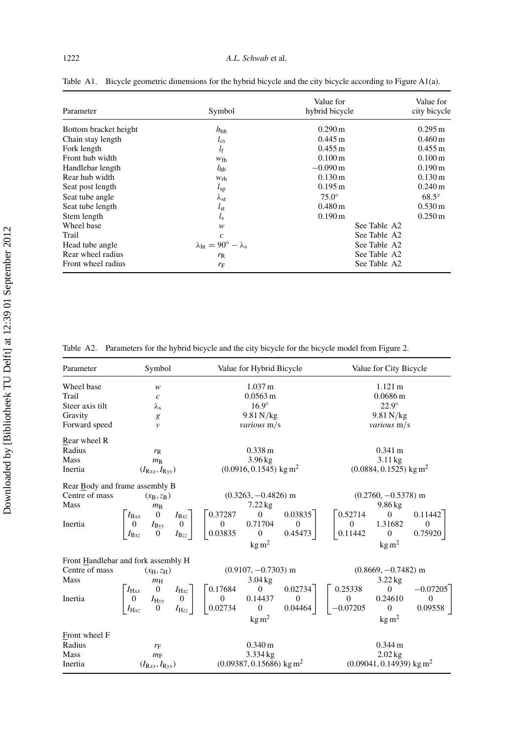| Parameter             | Symbol                                        | Value for<br>hybrid bicycle | Value for<br>city bicycle |
|-----------------------|-----------------------------------------------|-----------------------------|---------------------------|
| Bottom bracket height | $h_{\rm bb}$                                  | $0.290 \,\mathrm{m}$        | $0.295 \,\mathrm{m}$      |
| Chain stay length     | $l_{\rm cs}$                                  | $0.445 \text{ m}$           | $0.460 \,\mathrm{m}$      |
| Fork length           | $l_{\rm f}$                                   | $0.455 \text{ m}$           | $0.455 \,\mathrm{m}$      |
| Front hub width       | $W_{\text{fh}}$                               | $0.100 \,\mathrm{m}$        | $0.100 \,\mathrm{m}$      |
| Handlebar length      | $l_{\rm hb}$                                  | $-0.090 \,\mathrm{m}$       | $0.190 \,\mathrm{m}$      |
| Rear hub width        | W <sub>rh</sub>                               | $0.130 \,\mathrm{m}$        | $0.130 \,\mathrm{m}$      |
| Seat post length      | $l_{sp}$                                      | $0.195 \,\mathrm{m}$        | $0.240 \,\mathrm{m}$      |
| Seat tube angle       | $\lambda_{\rm st}$                            | $75.0^\circ$                | $68.5^\circ$              |
| Seat tube length      | $l_{st}$                                      | $0.480 \,\mathrm{m}$        | $0.530 \,\mathrm{m}$      |
| Stem length           | $l_{\rm s}$                                   | $0.190 \,\mathrm{m}$        | $0.250 \,\mathrm{m}$      |
| Wheel base            | w                                             | See Table A2                |                           |
| Trail                 | $\mathfrak{c}$                                | See Table A2                |                           |
| Head tube angle       | $\lambda_{\rm ht}=90^{\circ}-\lambda_{\rm c}$ | See Table A2                |                           |
| Rear wheel radius     | $r_{R}$                                       | See Table A2                |                           |
| Front wheel radius    | $r_{\rm F}$                                   | See Table A2                |                           |

Table A1. Bicycle geometric dimensions for the hybrid bicycle and the city bicycle according to Figure A1(a).

Table A2. Parameters for the hybrid bicycle and the city bicycle for the bicycle model from Figure 2.

| Parameter       | Symbol                                                                                                                                                                    | Value for Hybrid Bicycle                                                                                                                   | Value for City Bicycle                                                                                                                         |  |
|-----------------|---------------------------------------------------------------------------------------------------------------------------------------------------------------------------|--------------------------------------------------------------------------------------------------------------------------------------------|------------------------------------------------------------------------------------------------------------------------------------------------|--|
| Wheel base      | w                                                                                                                                                                         | $1.037 \text{ m}$                                                                                                                          | $1.121 \text{ m}$                                                                                                                              |  |
| Trail           | $\boldsymbol{c}$                                                                                                                                                          | $0.0563 \text{ m}$                                                                                                                         | $0.0686 \,\mathrm{m}$                                                                                                                          |  |
| Steer axis tilt | $\lambda_{\rm s}$                                                                                                                                                         | $16.9^\circ$                                                                                                                               | $22.9^\circ$                                                                                                                                   |  |
| Gravity         | g                                                                                                                                                                         | $9.81$ N/kg                                                                                                                                | $9.81$ N/kg                                                                                                                                    |  |
| Forward speed   | $\mathcal V$                                                                                                                                                              | various m/s                                                                                                                                | various m/s                                                                                                                                    |  |
| Rear wheel R    |                                                                                                                                                                           |                                                                                                                                            |                                                                                                                                                |  |
| Radius          | $r_{R}$                                                                                                                                                                   | $0.338 \text{ m}$                                                                                                                          | $0.341 \text{ m}$                                                                                                                              |  |
| Mass            | $m_{R}$                                                                                                                                                                   | $3.96$ kg                                                                                                                                  | $3.11$ kg                                                                                                                                      |  |
| Inertia         | $(I_{\text{Rx}}, I_{\text{Ryy}})$                                                                                                                                         | $(0.0916, 0.1545)$ kg m <sup>2</sup>                                                                                                       | $(0.0884, 0.1525)$ kg m <sup>2</sup>                                                                                                           |  |
|                 | Rear Body and frame assembly B                                                                                                                                            |                                                                                                                                            |                                                                                                                                                |  |
| Centre of mass  | $(x_B, z_B)$                                                                                                                                                              | $(0.3263, -0.4826)$ m                                                                                                                      | $(0.2760, -0.5378)$ m                                                                                                                          |  |
| Mass            | $m_{\rm B}$                                                                                                                                                               | $7.22$ kg                                                                                                                                  | $9.86$ kg                                                                                                                                      |  |
| Inertia         | $\begin{bmatrix} I_{\text{Bxx}} & 0 & I_{\text{Bxz}} \\ 0 & I_{\text{Byy}} & 0 \\ I_{\text{Bzz}} & 0 & I_{\text{Bzz}} \end{bmatrix}$<br>$I_{\text{Bxz}}$<br>$I_{\rm Bzz}$ | $\boldsymbol{0}$<br>0.03835<br>0.37287<br>$\overline{0}$<br>$\overline{0}$<br>0.71704<br>0.03835<br>$\theta$<br>0.45473<br>$\text{kg m}^2$ | 0.52714<br>$\mathbf{0}$<br>0.11442<br>$\mathbf{0}$<br>1.31682<br>$\theta$<br>0.11442<br>$\theta$<br>0.75920<br>$kg \, m^2$                     |  |
|                 | Front Handlebar and fork assembly H                                                                                                                                       |                                                                                                                                            |                                                                                                                                                |  |
| Centre of mass  | $(x_{\rm H}, z_{\rm H})$                                                                                                                                                  | $(0.9107, -0.7303)$ m                                                                                                                      | $(0.8669, -0.7482)$ m                                                                                                                          |  |
| Mass            | $m_{\rm H}$                                                                                                                                                               | $3.04$ kg                                                                                                                                  | $3.22$ kg                                                                                                                                      |  |
| Inertia         | $\begin{bmatrix} 0 & I_{\rm Hxz} \\ I_{\rm Hyy} & 0 \\ 0 & I_{\rm Hzz} \end{bmatrix}$<br>$I_{\rm Hxx}$<br>$\overline{0}$<br>$I_{\text{Hxz}}$<br>$I_{\rm Hzz}$             | $\theta$<br>0.02734<br>0.17684<br>$\overline{0}$<br>$\boldsymbol{0}$<br>0.14437<br>$\theta$<br>0.02734<br>0.04464<br>$\text{kg m}^2$       | 0.25338<br>$\overline{0}$<br>$-0.07205$<br>$\boldsymbol{0}$<br>0.24610<br>$\theta$<br>$-0.07205$<br>$\mathbf{0}$<br>0.09558<br>$\text{kg m}^2$ |  |
| Front wheel F   |                                                                                                                                                                           |                                                                                                                                            |                                                                                                                                                |  |
| Radius          | $r_{\rm F}$                                                                                                                                                               | $0.340 \,\mathrm{m}$                                                                                                                       | $0.344 \text{ m}$                                                                                                                              |  |
| Mass            | $m_F$                                                                                                                                                                     | 3.334 kg                                                                                                                                   | $2.02$ kg                                                                                                                                      |  |
| Inertia         | $(I_{\text{Rx}}, I_{\text{Ryy}})$                                                                                                                                         | $(0.09387, 0.15686)$ kg m <sup>2</sup>                                                                                                     | $(0.09041, 0.14939)$ kg m <sup>2</sup>                                                                                                         |  |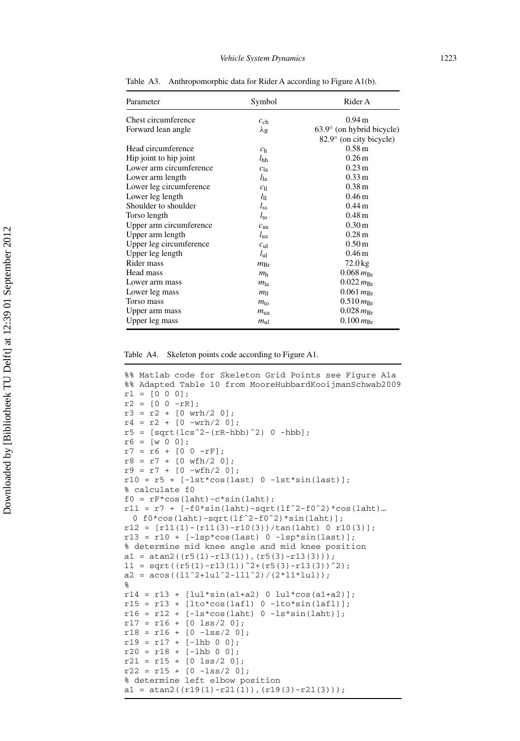| Parameter               | Symbol          | Rider A                            |
|-------------------------|-----------------|------------------------------------|
| Chest circumference     | $c_{ch}$        | $0.94 \text{ m}$                   |
| Forward lean angle      | λ <sub>fl</sub> | $63.9^{\circ}$ (on hybrid bicycle) |
|                         |                 | 82.9° (on city bicycle)            |
| Head circumference      | c <sub>h</sub>  | $0.58 \,\mathrm{m}$                |
| Hip joint to hip joint  | $l_{\rm hh}$    | $0.26 \,\mathrm{m}$                |
| Lower arm circumference | $c_{1a}$        | $0.23 \text{ m}$                   |
| Lower arm length        | $l_{1a}$        | $0.33 \,\mathrm{m}$                |
| Lower leg circumference | $c_{\text{ll}}$ | 0.38 <sub>m</sub>                  |
| Lower leg length        | $l_{\rm ll}$    | 0.46 <sub>m</sub>                  |
| Shoulder to shoulder    | $l_{ss}$        | $0.44 \text{ m}$                   |
| Torso length            | $l_{\rm to}$    | $0.48 \,\mathrm{m}$                |
| Upper arm circumference | $c_{\rm u}$     | $0.30 \,\mathrm{m}$                |
| Upper arm length        | $l_{\rm ua}$    | $0.28 \text{ m}$                   |
| Upper leg circumference | $c_{\rm ul}$    | $0.50 \,\mathrm{m}$                |
| Upper leg length        | $l_{\rm ul}$    | 0.46 <sub>m</sub>                  |
| Rider mass              | $m_{\rm Br}$    | $72.0$ kg                          |
| Head mass               | m <sub>h</sub>  | $0.068 m_{Br}$                     |
| Lower arm mass          | $m_{\rm la}$    | $0.022 \, m_{\rm Br}$              |
| Lower leg mass          | $m_{\parallel}$ | $0.061 m_{Br}$                     |
| Torso mass              | $m_{\rm to}$    | $0.510 \, m_{Br}$                  |
| Upper arm mass          | $m_{\rm u}$     | $0.028 \, m_{\rm Br}$              |
| Upper leg mass          | $m_{\rm ul}$    | $0.100 \, m_{\rm Br}$              |

Table A3. Anthropomorphic data for Rider A according to Figure A1(b).

```
%% Matlab code for Skeleton Grid Points see Figure A1a
%% Adapted Table 10 from MooreHubbardKooijmanSchwab2009
r1 = [0 0 0];r2 = [0 0 - rR];r3 = r2 + [0 \text{ with}/2 \text{ 0}];r4 = r2 + [0 - wrh/2 0];r5 = [sqrt(1cs^2 - (rR-hbb)^2)] 0 -hbb];
r6 = [w 0 0];r7 = r6 + [0 0 - rF];r8 = r7 + [0 wfh/2 0];
r9 = r7 + [0 -wfh/2 0];
r10 = r5 + [-lst*cos(last) 0 - lst*sin(last)];% calculate f0
f0 = rF*cos(laht) - c*sin(laht);r11 = r7 + [-f0*sin(laht) - sqrt(lf^2-f0^2)*cos(laht)…
  0 f0*cos(laht)-sqrt(lfˆ2-f0ˆ2)*sin(laht)];
r12 = [r11(1) - (r11(3) - r10(3)) / tan(laht) 0 r10(3)];
r13 = r10 + [-1sp*cos(last) 0 -1sp*sin(last)];
% determine mid knee angle and mid knee position
a1 = \text{atan2}((r5(1)-r13(1)),(r5(3)-r13(3)));
11 = sqrt((r5(1)-r13(1))^2+(r5(3)-r13(3))^2);a2 = a \cos((11^2 + 1u1^2 - 111^2)/(2 \cdot 11 \cdot 1u1));%
r14 = r13 + [lu1*sin(al+az) 0 lu1*cos(al+az)];r15 = r13 + [lto * cos(laf1) 0 - lto *sin(laf1)];r16 = r12 + [-ls*cos(laht) 0 - ls*sin(laht)];r17 = r16 + [0 \text{ lss}/2 \text{ 0}];r18 = r16 + [0 - lss/2 0];r19 = r17 + [-1hb 0 0];r20 = r18 + [-1hb 0 0];r21 = r15 + [0 \text{ lss}/2 \text{ 0}];r22 = r15 + [0 - 1ss/2]% determine left elbow position
a1 = atan2((r19(1)-r21(1)),(r19(3)-r21(3));
```
Table A4. Skeleton points code according to Figure A1.